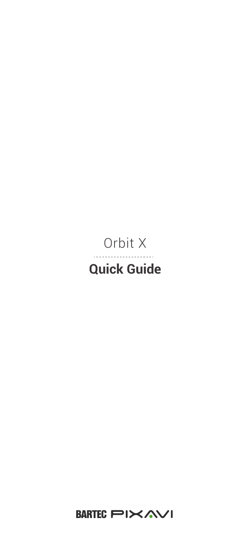#### Orbit X . . . . . . .  $\cdots$ **Quick Guide**

BARTEC PIXAVI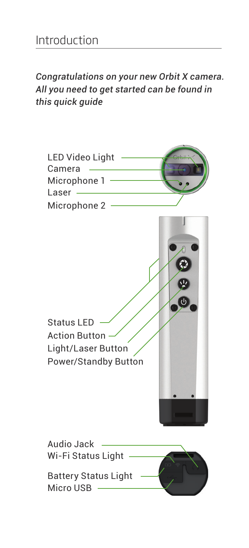*Congratulations on your new Orbit X camera. All you need to get started can be found in this quick guide*

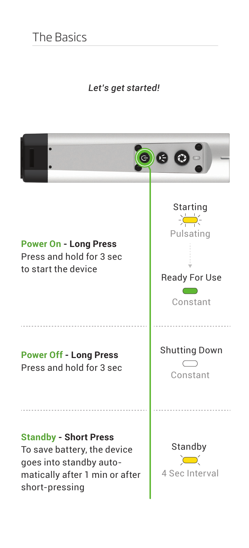#### *Let's get started!*

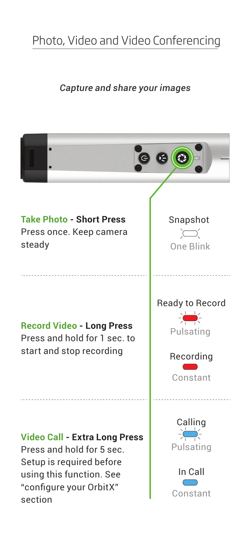# Photo, Video and Video Conferencing

#### *Capture and share your images*

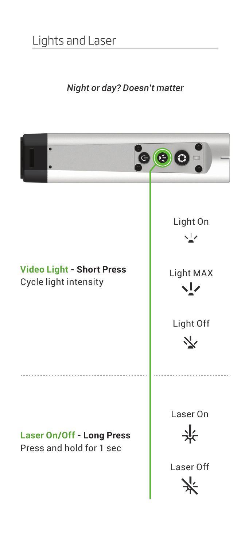#### *Night or day? Doesn't matter*

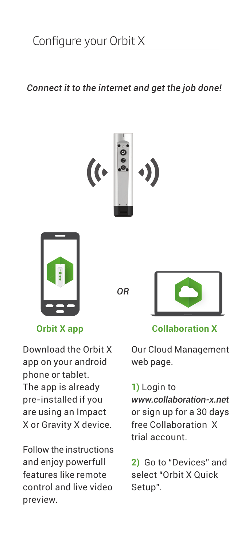*Connect it to the internet and get the job done!* 





*OR*



Download the Orbit X app on your android phone or tablet. The app is already pre-installed if you are using an Impact X or Gravity X device.

Follow the instructions and enjoy powerfull features like remote control and live video preview.

#### **Orbit X app Collaboration X**

Our Cloud Management web page.

#### **1)** Login to

*www.collaboration-x.net* or sign up for a 30 days free Collaboration X trial account.

**2)** Go to "Devices" and select "Orbit X Quick Setup".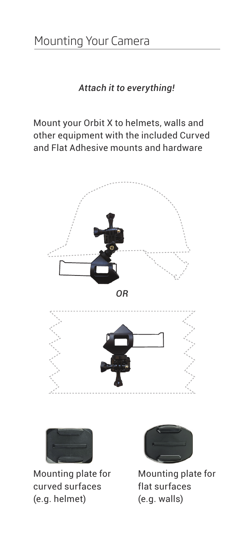*Attach it to everything!*

Mount your Orbit X to helmets, walls and other equipment with the included Curved and Flat Adhesive mounts and hardware





Mounting plate for curved surfaces (e.g. helmet)



Mounting plate for flat surfaces (e.g. walls)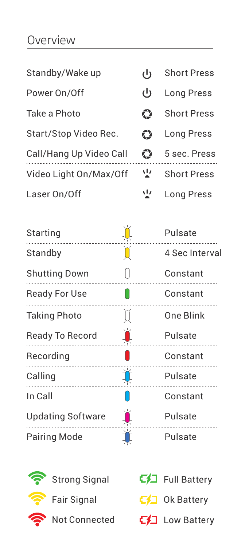### Overview

| Standby/Wake up         | داء | <b>Short Press</b> |
|-------------------------|-----|--------------------|
| Power On/Off            | را) | <b>Long Press</b>  |
| Take a Photo            | ć٦  | <b>Short Press</b> |
| Start/Stop Video Rec.   | ć٦  | Long Press         |
| Call/Hang Up Video Call | Ω   | 5 sec. Press       |
| Video Light On/Max/Off  | 业   | <b>Short Press</b> |
| Laser On/Off            | 业   | <b>Long Press</b>  |

| Starting                 |    | Pulsate        |
|--------------------------|----|----------------|
| Standby                  | Ŏ  | 4 Sec Interval |
| <b>Shutting Down</b>     |    | Constant       |
| <b>Ready For Use</b>     |    | Constant       |
| <b>Taking Photo</b>      | 0  | One Blink      |
| Ready To Record          | Ă  | Pulsate        |
| Recording                |    | Constant       |
| Calling<br>.             | ĬĹ | Pulsate        |
| In Call                  |    | Constant       |
| <b>Updating Software</b> | T  | Pulsate        |
| Pairing Mode             |    | Pulsate        |



| Full Battery       |
|--------------------|
| $\Box$ Ok Battery  |
| $\Box$ Low Battery |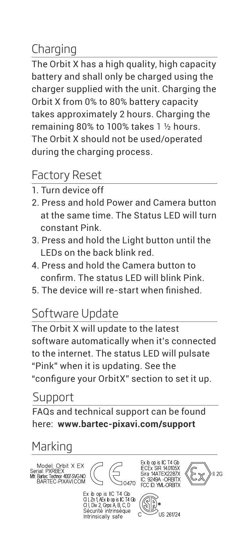## Charging

The Orbit X has a high quality, high capacity battery and shall only be charged using the charger supplied with the unit. Charging the Orbit X from 0% to 80% battery capacity takes approximately 2 hours. Charging the remaining 80% to 100% takes 1 ½ hours. The Orbit X should not be used/operated during the charging process.

### Factory Reset

- 1. Turn device off
- 2. Press and hold Power and Camera button at the same time. The Status LED will turn constant Pink.
- 3. Press and hold the Light button until the LEDs on the back blink red.
- 4. Press and hold the Camera button to confirm. The status LED will blink Pink.
- 5. The device will re-start when finished.

## Software Update

The Orbit X will update to the latest software automatically when it's connected to the internet. The status LED will pulsate "Pink" when it is updating. See the "configure your OrbitX" section to set it up.

### Support

FAQs and technical support can be found here: **www.bartec-pixavi.com/support**

## Marking

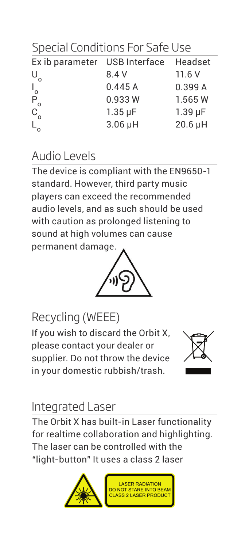Special Conditions For Safe Use

| Ex ib parameter USB Interface Headset |                |              |
|---------------------------------------|----------------|--------------|
| $U_{\alpha}$                          | 8.4 V          | 11.6V        |
|                                       | 0.445A         | 0.399 A      |
|                                       | 0.933W         | 1.565W       |
|                                       | $1.35 \,\mu F$ | $1.39 \mu F$ |
| $L_0$ $D_0$                           | $3.06$ µH      | 20.6 µH      |
|                                       |                |              |

### Audio Levels

The device is compliant with the EN9650-1 standard. However, third party music players can exceed the recommended audio levels, and as such should be used with caution as prolonged listening to sound at high volumes can cause permanent damage.



## Recycling (WEEE)

If you wish to discard the Orbit X, please contact your dealer or supplier. Do not throw the device in your domestic rubbish/trash.



#### Integrated Laser

The Orbit X has built-in Laser functionality for realtime collaboration and highlighting. The laser can be controlled with the "light-button" It uses a class 2 laser

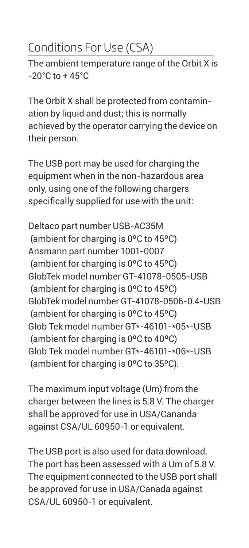# Conditions For Use (CSA)

The ambient temperature range of the Orbit X is  $-20^{\circ}$ C to  $+45^{\circ}$ C

The Orbit X shall be protected from contamination by liquid and dust; this is normally achieved by the operator carrying the device on their person.

The USB port may be used for charging the equipment when in the non-hazardous area only, using one of the following chargers specifically supplied for use with the unit:

Deltaco part number USB-AC35M (ambient for charging is 0ºC to 45ºC) Ansmann part number 1001-0007 (ambient for charging is 0ºC to 45ºC) GlobTek model number GT-41078-0505-USB (ambient for charging is 0ºC to 45ºC) GlobTek model number GT-41078-0506-0.4-USB (ambient for charging is 0ºC to 45ºC) Glob Tek model number GT\*-46101-\*05\*-USB (ambient for charging is 0ºC to 40ºC) Glob Tek model number GT\*-46101-\*06\*-USB (ambient for charging is 0ºC to 35ºC).

The maximum input voltage (Um) from the charger between the lines is 5.8 V. The charger shall be approved for use in USA/Cananda against CSA/UL 60950-1 or equivalent.

The USB port is also used for data download. The port has been assessed with a Um of 5.8 V. The equipment connected to the USB port shall be approved for use in USA/Canada against CSA/UL 60950-1 or equivalent.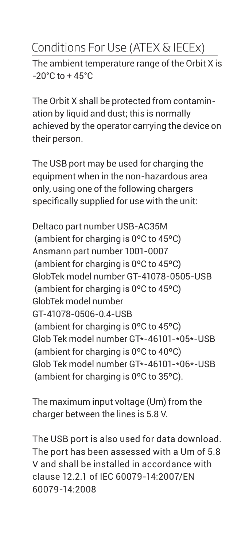## Conditions For Use (ATEX & IECEx)

The ambient temperature range of the Orbit X is  $-20^{\circ}$ C to  $+45^{\circ}$ C

The Orbit X shall be protected from contamination by liquid and dust; this is normally achieved by the operator carrying the device on their person.

The USB port may be used for charging the equipment when in the non-hazardous area only, using one of the following chargers specifically supplied for use with the unit:

Deltaco part number USB-AC35M (ambient for charging is 0ºC to 45ºC) Ansmann part number 1001-0007 (ambient for charging is 0ºC to 45ºC) GlobTek model number GT-41078-0505-USB (ambient for charging is 0ºC to 45ºC) GlobTek model number GT-41078-0506-0.4-USB (ambient for charging is 0ºC to 45ºC) Glob Tek model number GT\*-46101-\*05\*-USB (ambient for charging is 0ºC to 40ºC) Glob Tek model number GT\*-46101-\*06\*-USB (ambient for charging is 0ºC to 35ºC).

The maximum input voltage (Um) from the charger between the lines is 5.8 V.

The USB port is also used for data download. The port has been assessed with a Um of 5.8 V and shall be installed in accordance with clause 12.2.1 of IEC 60079-14:2007/EN 60079-14:2008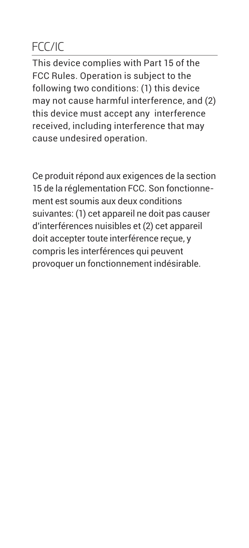## FCC/IC

This device complies with Part 15 of the FCC Rules. Operation is subject to the following two conditions: (1) this device may not cause harmful interference, and (2) this device must accept any interference received, including interference that may cause undesired operation.

Ce produit répond aux exigences de la section 15 de la réglementation FCC. Son fonctionnement est soumis aux deux conditions suivantes: (1) cet appareil ne doit pas causer d'interférences nuisibles et (2) cet appareil doit accepter toute interférence reçue, y compris les interférences qui peuvent provoquer un fonctionnement indésirable.